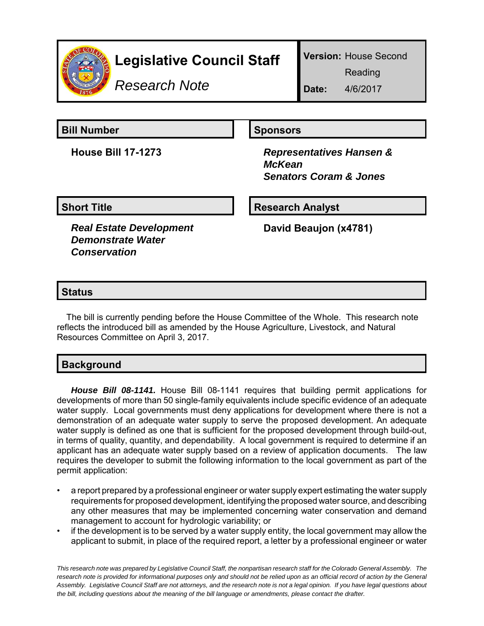

# **Legislative Council Staff**

**Version:** House Second

*Research Note*

Reading **Date:** 4/6/2017

**Bill Number Sponsors** 

**House Bill 17-1273** *Representatives Hansen & McKean Senators Coram & Jones*

*Real Estate Development Demonstrate Water Conservation*

**Short Title Community Community Community Research Analyst** 

**David Beaujon (x4781)**

## **Status**

The bill is currently pending before the House Committee of the Whole. This research note reflects the introduced bill as amended by the House Agriculture, Livestock, and Natural Resources Committee on April 3, 2017.

# **Background**

*House Bill 08-1141.* House Bill 08-1141 requires that building permit applications for developments of more than 50 single-family equivalents include specific evidence of an adequate water supply. Local governments must deny applications for development where there is not a demonstration of an adequate water supply to serve the proposed development. An adequate water supply is defined as one that is sufficient for the proposed development through build-out, in terms of quality, quantity, and dependability. A local government is required to determine if an applicant has an adequate water supply based on a review of application documents. The law requires the developer to submit the following information to the local government as part of the permit application:

- a report prepared by a professional engineer or water supply expert estimating the water supply requirements for proposed development, identifying the proposed water source, and describing any other measures that may be implemented concerning water conservation and demand management to account for hydrologic variability; or
- if the development is to be served by a water supply entity, the local government may allow the applicant to submit, in place of the required report, a letter by a professional engineer or water

*This research note was prepared by Legislative Council Staff, the nonpartisan research staff for the Colorado General Assembly. The research note is provided for informational purposes only and should not be relied upon as an official record of action by the General Assembly. Legislative Council Staff are not attorneys, and the research note is not a legal opinion. If you have legal questions about the bill, including questions about the meaning of the bill language or amendments, please contact the drafter.*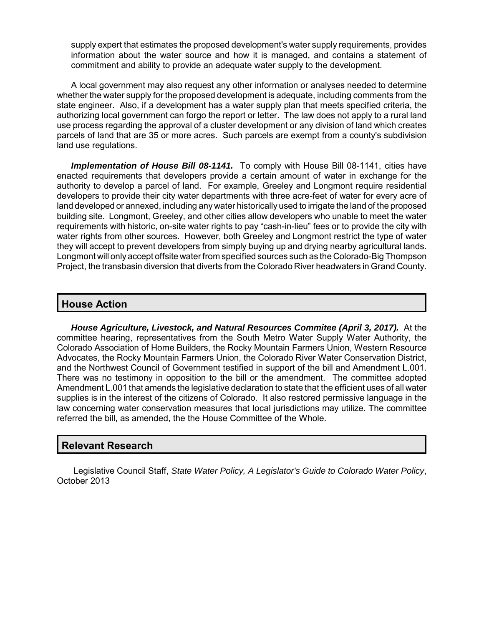supply expert that estimates the proposed development's water supply requirements, provides information about the water source and how it is managed, and contains a statement of commitment and ability to provide an adequate water supply to the development.

A local government may also request any other information or analyses needed to determine whether the water supply for the proposed development is adequate, including comments from the state engineer. Also, if a development has a water supply plan that meets specified criteria, the authorizing local government can forgo the report or letter. The law does not apply to a rural land use process regarding the approval of a cluster development or any division of land which creates parcels of land that are 35 or more acres. Such parcels are exempt from a county's subdivision land use regulations.

*Implementation of House Bill 08-1141.* To comply with House Bill 08-1141, cities have enacted requirements that developers provide a certain amount of water in exchange for the authority to develop a parcel of land. For example, Greeley and Longmont require residential developers to provide their city water departments with three acre-feet of water for every acre of land developed or annexed, including any water historically used to irrigate the land of the proposed building site. Longmont, Greeley, and other cities allow developers who unable to meet the water requirements with historic, on-site water rights to pay "cash-in-lieu" fees or to provide the city with water rights from other sources. However, both Greeley and Longmont restrict the type of water they will accept to prevent developers from simply buying up and drying nearby agricultural lands. Longmont will only accept offsite water from specified sources such as the Colorado-Big Thompson Project, the transbasin diversion that diverts from the Colorado River headwaters in Grand County.

### **House Action**

*House Agriculture, Livestock, and Natural Resources Commitee (April 3, 2017).* At the committee hearing, representatives from the South Metro Water Supply Water Authority, the Colorado Association of Home Builders, the Rocky Mountain Farmers Union, Western Resource Advocates, the Rocky Mountain Farmers Union, the Colorado River Water Conservation District, and the Northwest Council of Government testified in support of the bill and Amendment L.001. There was no testimony in opposition to the bill or the amendment. The committee adopted Amendment L.001 that amends the legislative declaration to state that the efficient uses of all water supplies is in the interest of the citizens of Colorado. It also restored permissive language in the law concerning water conservation measures that local jurisdictions may utilize. The committee referred the bill, as amended, the the House Committee of the Whole.

### **Relevant Research**

 Legislative Council Staff, *State Water Policy, A Legislator's Guide to Colorado Water Policy*, October 2013